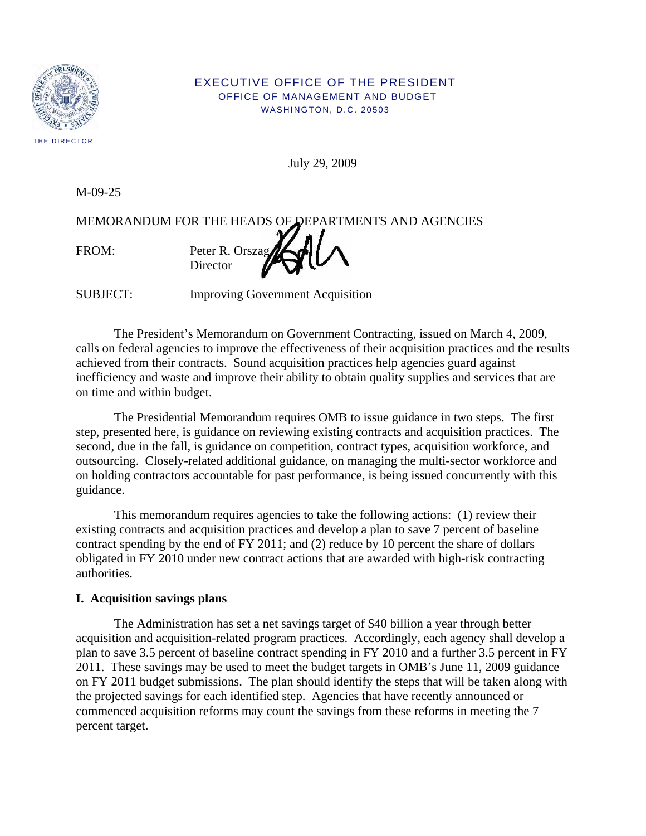

#### EXECUTIVE OFFICE OF THE PRESIDENT OFFICE OF MANAGEMENT AND BUDGET WASHINGTON, D.C. 20503

July 29, 2009

M-09-25

MEMORANDUM FOR THE HEADS OF DEPARTMENTS AND AGENCIES FROM: Peter R. Orszag **Director** 

SUBJECT: Improving Government Acquisition

 The President's Memorandum on Government Contracting, issued on March 4, 2009, calls on federal agencies to improve the effectiveness of their acquisition practices and the results achieved from their contracts. Sound acquisition practices help agencies guard against inefficiency and waste and improve their ability to obtain quality supplies and services that are on time and within budget.

 The Presidential Memorandum requires OMB to issue guidance in two steps. The first step, presented here, is guidance on reviewing existing contracts and acquisition practices. The second, due in the fall, is guidance on competition, contract types, acquisition workforce, and outsourcing. Closely-related additional guidance, on managing the multi-sector workforce and on holding contractors accountable for past performance, is being issued concurrently with this guidance.

 This memorandum requires agencies to take the following actions: (1) review their existing contracts and acquisition practices and develop a plan to save 7 percent of baseline contract spending by the end of FY 2011; and (2) reduce by 10 percent the share of dollars obligated in FY 2010 under new contract actions that are awarded with high-risk contracting authorities.

## **I. Acquisition savings plans**

 The Administration has set a net savings target of \$40 billion a year through better acquisition and acquisition-related program practices. Accordingly, each agency shall develop a plan to save 3.5 percent of baseline contract spending in FY 2010 and a further 3.5 percent in FY 2011. These savings may be used to meet the budget targets in OMB's June 11, 2009 guidance on FY 2011 budget submissions. The plan should identify the steps that will be taken along with the projected savings for each identified step. Agencies that have recently announced or commenced acquisition reforms may count the savings from these reforms in meeting the 7 percent target.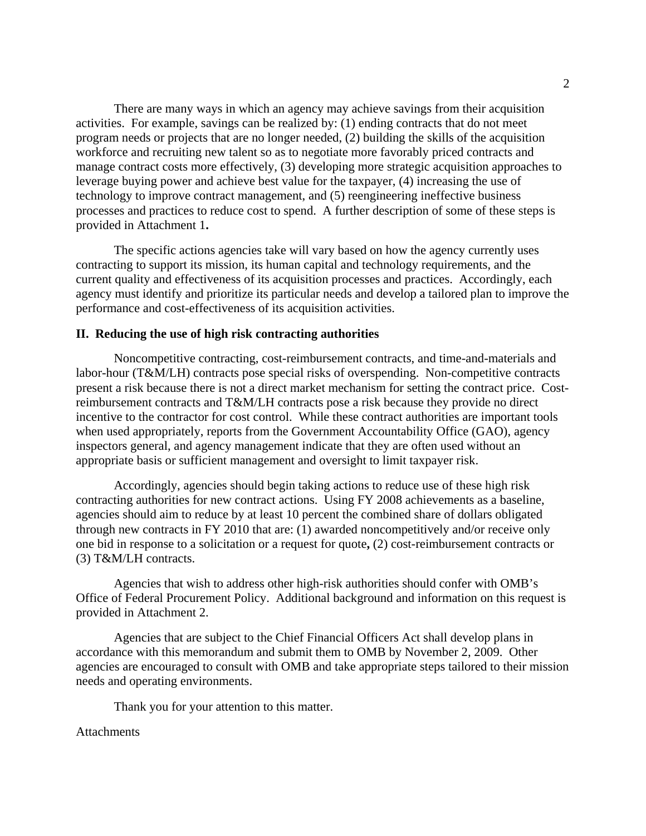There are many ways in which an agency may achieve savings from their acquisition activities. For example, savings can be realized by: (1) ending contracts that do not meet program needs or projects that are no longer needed, (2) building the skills of the acquisition workforce and recruiting new talent so as to negotiate more favorably priced contracts and manage contract costs more effectively, (3) developing more strategic acquisition approaches to leverage buying power and achieve best value for the taxpayer, (4) increasing the use of technology to improve contract management, and (5) reengineering ineffective business processes and practices to reduce cost to spend. A further description of some of these steps is provided in Attachment 1**.** 

The specific actions agencies take will vary based on how the agency currently uses contracting to support its mission, its human capital and technology requirements, and the current quality and effectiveness of its acquisition processes and practices. Accordingly, each agency must identify and prioritize its particular needs and develop a tailored plan to improve the performance and cost-effectiveness of its acquisition activities.

#### **I I. Reducing the use of high risk contracting authorities**

Noncompetitive contracting, cost-reimbursement contracts, and time-and-materials and labor-hour (T&M/LH) contracts pose special risks of overspending. Non-competitive contracts present a risk because there is not a direct market mechanism for setting the contract price. Costreimbursement contracts and T&M/LH contracts pose a risk because they provide no direct incentive to the contractor for cost control. While these contract authorities are important tools when used appropriately, reports from the Government Accountability Office (GAO), agency inspectors general, and agency management indicate that they are often used without an appropriate basis or sufficient management and oversight to limit taxpayer risk.

 Accordingly, agencies should begin taking actions to reduce use of these high risk contracting authorities for new contract actions. Using FY 2008 achievements as a baseline, agencies should aim to reduce by at least 10 percent the combined share of dollars obligated through new contracts in FY 2010 that are: (1) awarded noncompetitively and/or receive only one bid in response to a solicitation or a request for quote**,** (2) cost-reimbursement contracts or (3) T&M/LH contracts.

 Agencies that wish to address other high-risk authorities should confer with OMB's Office of Federal Procurement Policy. Additional background and information on this request is provided in Attachment 2.

 Agencies that are subject to the Chief Financial Officers Act shall develop plans in accordance with this memorandum and submit them to OMB by November 2, 2009. Other agencies are encouraged to consult with OMB and take appropriate steps tailored to their mission needs and operating environments.

Thank you for your attention to this matter.

#### **Attachments**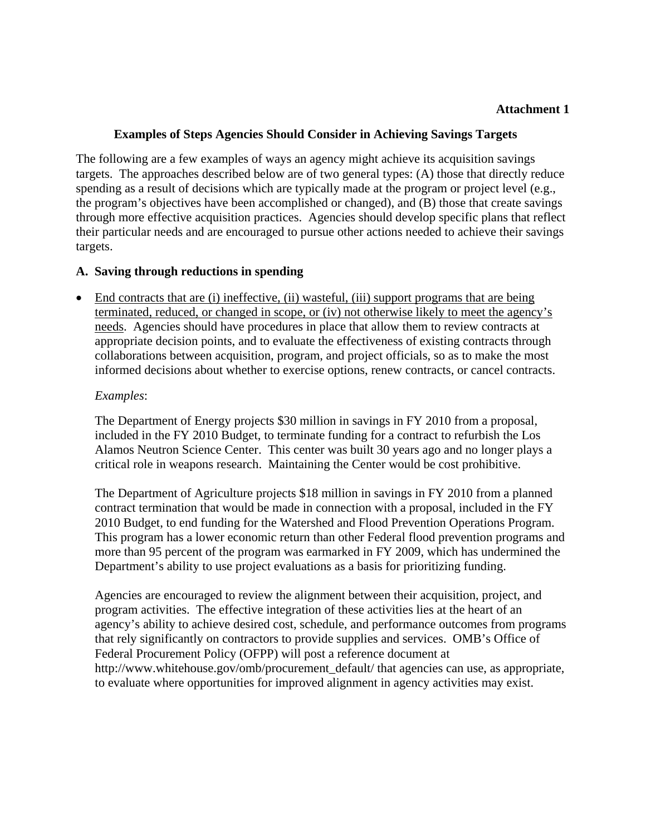## **Attachment 1**

## **Examples of Steps Agencies Should Consider in Achieving Savings Targets**

The following are a few examples of ways an agency might achieve its acquisition savings targets. The approaches described below are of two general types: (A) those that directly reduce spending as a result of decisions which are typically made at the program or project level (e.g., the program's objectives have been accomplished or changed), and (B) those that create savings through more effective acquisition practices. Agencies should develop specific plans that reflect their particular needs and are encouraged to pursue other actions needed to achieve their savings targets.

## **A. Saving through reductions in spending**

• End contracts that are (i) ineffective, (ii) wasteful, (iii) support programs that are being terminated, reduced, or changed in scope, or (iv) not otherwise likely to meet the agency's needs. Agencies should have procedures in place that allow them to review contracts at appropriate decision points, and to evaluate the effectiveness of existing contracts through collaborations between acquisition, program, and project officials, so as to make the most informed decisions about whether to exercise options, renew contracts, or cancel contracts.

## *Examples*:

The Department of Energy projects \$30 million in savings in FY 2010 from a proposal, included in the FY 2010 Budget, to terminate funding for a contract to refurbish the Los Alamos Neutron Science Center. This center was built 30 years ago and no longer plays a critical role in weapons research. Maintaining the Center would be cost prohibitive.

The Department of Agriculture projects \$18 million in savings in FY 2010 from a planned contract termination that would be made in connection with a proposal, included in the FY 2010 Budget, to end funding for the Watershed and Flood Prevention Operations Program. This program has a lower economic return than other Federal flood prevention programs and more than 95 percent of the program was earmarked in FY 2009, which has undermined the Department's ability to use project evaluations as a basis for prioritizing funding.

Agencies are encouraged to review the alignment between their acquisition, project, and program activities. The effective integration of these activities lies at the heart of an agency's ability to achieve desired cost, schedule, and performance outcomes from programs that rely significantly on contractors to provide supplies and services. OMB's Office of Federal Procurement Policy (OFPP) will post a reference document at http://www.whitehouse.gov/omb/procurement default/ that agencies can use, as appropriate, to evaluate where opportunities for improved alignment in agency activities may exist.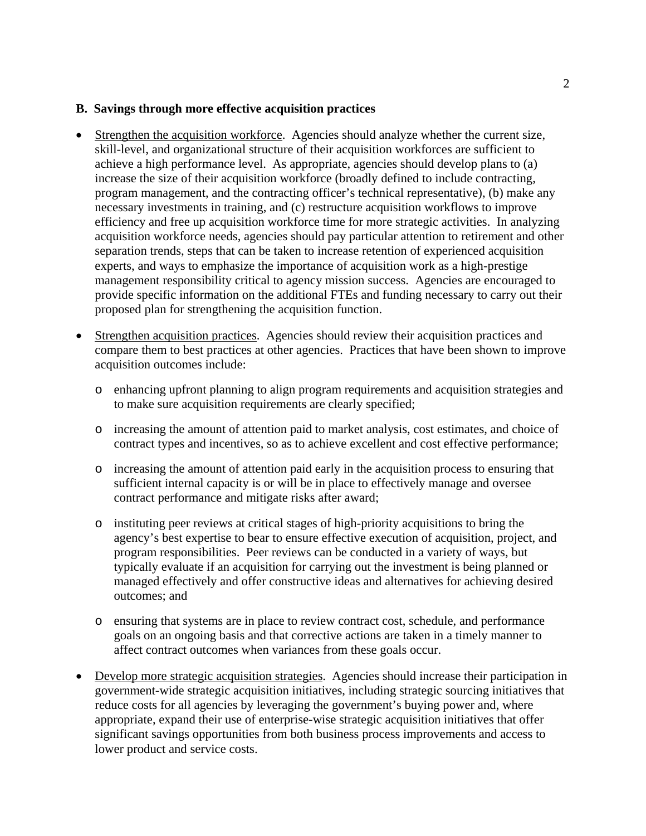#### **B. Savings through more effective acquisition practices**

- Strengthen the acquisition workforce. Agencies should analyze whether the current size, skill-level, and organizational structure of their acquisition workforces are sufficient to achieve a high performance level. As appropriate, agencies should develop plans to (a) increase the size of their acquisition workforce (broadly defined to include contracting, program management, and the contracting officer's technical representative), (b) make any necessary investments in training, and (c) restructure acquisition workflows to improve efficiency and free up acquisition workforce time for more strategic activities. In analyzing acquisition workforce needs, agencies should pay particular attention to retirement and other separation trends, steps that can be taken to increase retention of experienced acquisition experts, and ways to emphasize the importance of acquisition work as a high-prestige management responsibility critical to agency mission success. Agencies are encouraged to provide specific information on the additional FTEs and funding necessary to carry out their proposed plan for strengthening the acquisition function.
- Strengthen acquisition practices. Agencies should review their acquisition practices and compare them to best practices at other agencies. Practices that have been shown to improve acquisition outcomes include:
	- o enhancing upfront planning to align program requirements and acquisition strategies and to make sure acquisition requirements are clearly specified;
	- o increasing the amount of attention paid to market analysis, cost estimates, and choice of contract types and incentives, so as to achieve excellent and cost effective performance;
	- o increasing the amount of attention paid early in the acquisition process to ensuring that sufficient internal capacity is or will be in place to effectively manage and oversee contract performance and mitigate risks after award;
	- o instituting peer reviews at critical stages of high-priority acquisitions to bring the agency's best expertise to bear to ensure effective execution of acquisition, project, and program responsibilities. Peer reviews can be conducted in a variety of ways, but typically evaluate if an acquisition for carrying out the investment is being planned or managed effectively and offer constructive ideas and alternatives for achieving desired outcomes; and
	- o ensuring that systems are in place to review contract cost, schedule, and performance goals on an ongoing basis and that corrective actions are taken in a timely manner to affect contract outcomes when variances from these goals occur.
- Develop more strategic acquisition strategies. Agencies should increase their participation in government-wide strategic acquisition initiatives, including strategic sourcing initiatives that reduce costs for all agencies by leveraging the government's buying power and, where appropriate, expand their use of enterprise-wise strategic acquisition initiatives that offer significant savings opportunities from both business process improvements and access to lower product and service costs.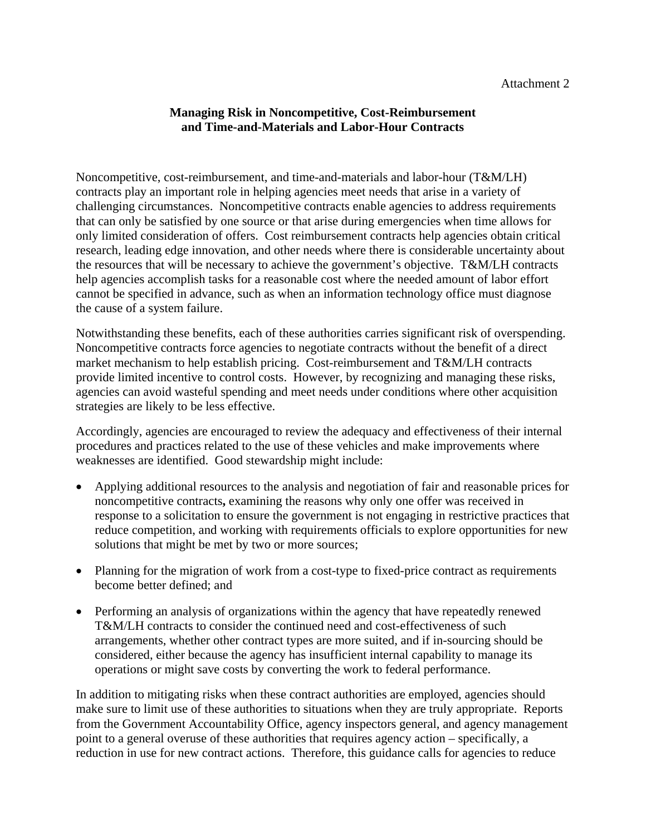# **Managing Risk in Noncompetitive, Cost-Reimbursement and Time-and-Materials and Labor-Hour Contracts**

Noncompetitive, cost-reimbursement, and time-and-materials and labor-hour (T&M/LH) contracts play an important role in helping agencies meet needs that arise in a variety of challenging circumstances. Noncompetitive contracts enable agencies to address requirements that can only be satisfied by one source or that arise during emergencies when time allows for only limited consideration of offers. Cost reimbursement contracts help agencies obtain critical research, leading edge innovation, and other needs where there is considerable uncertainty about the resources that will be necessary to achieve the government's objective. T&M/LH contracts help agencies accomplish tasks for a reasonable cost where the needed amount of labor effort cannot be specified in advance, such as when an information technology office must diagnose the cause of a system failure.

Notwithstanding these benefits, each of these authorities carries significant risk of overspending. Noncompetitive contracts force agencies to negotiate contracts without the benefit of a direct market mechanism to help establish pricing. Cost-reimbursement and T&M/LH contracts provide limited incentive to control costs. However, by recognizing and managing these risks, agencies can avoid wasteful spending and meet needs under conditions where other acquisition strategies are likely to be less effective.

Accordingly, agencies are encouraged to review the adequacy and effectiveness of their internal procedures and practices related to the use of these vehicles and make improvements where weaknesses are identified. Good stewardship might include:

- Applying additional resources to the analysis and negotiation of fair and reasonable prices for noncompetitive contracts**,** examining the reasons why only one offer was received in response to a solicitation to ensure the government is not engaging in restrictive practices that reduce competition, and working with requirements officials to explore opportunities for new solutions that might be met by two or more sources;
- Planning for the migration of work from a cost-type to fixed-price contract as requirements become better defined; and
- Performing an analysis of organizations within the agency that have repeatedly renewed T&M/LH contracts to consider the continued need and cost-effectiveness of such arrangements, whether other contract types are more suited, and if in-sourcing should be considered, either because the agency has insufficient internal capability to manage its operations or might save costs by converting the work to federal performance.

In addition to mitigating risks when these contract authorities are employed, agencies should make sure to limit use of these authorities to situations when they are truly appropriate. Reports from the Government Accountability Office, agency inspectors general, and agency management point to a general overuse of these authorities that requires agency action – specifically, a reduction in use for new contract actions. Therefore, this guidance calls for agencies to reduce